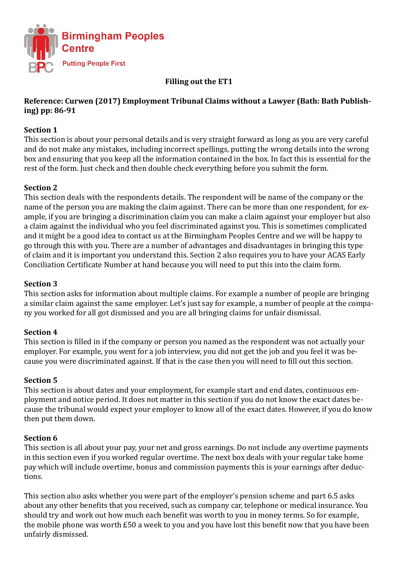

## **Filling out the ET1**

## **Reference: Curwen (2017) Employment Tribunal Claims without a Lawyer (Bath: Bath Publishing) pp: 86-91**

## **Section 1**

This section is about your personal details and is very straight forward as long as you are very careful and do not make any mistakes, including incorrect spellings, putting the wrong details into the wrong box and ensuring that you keep all the information contained in the box. In fact this is essential for the rest of the form. Just check and then double check everything before you submit the form.

### **Section 2**

This section deals with the respondents details. The respondent will be name of the company or the name of the person you are making the claim against. There can be more than one respondent, for example, if you are bringing a discrimination claim you can make a claim against your employer but also a claim against the individual who you feel discriminated against you. This is sometimes complicated and it might be a good idea to contact us at the Birmingham Peoples Centre and we will be happy to go through this with you. There are a number of advantages and disadvantages in bringing this type of claim and it is important you understand this. Section 2 also requires you to have your ACAS Early Conciliation Certificate Number at hand because you will need to put this into the claim form.

### **Section 3**

This section asks for information about multiple claims. For example a number of people are bringing a similar claim against the same employer. Let's just say for example, a number of people at the company you worked for all got dismissed and you are all bringing claims for unfair dismissal.

### **Section 4**

This section is filled in if the company or person you named as the respondent was not actually your employer. For example, you went for a job interview, you did not get the job and you feel it was because you were discriminated against. If that is the case then you will need to fill out this section.

### **Section 5**

This section is about dates and your employment, for example start and end dates, continuous employment and notice period. It does not matter in this section if you do not know the exact dates because the tribunal would expect your employer to know all of the exact dates. However, if you do know then put them down.

### **Section 6**

This section is all about your pay, your net and gross earnings. Do not include any overtime payments in this section even if you worked regular overtime. The next box deals with your regular take home pay which will include overtime, bonus and commission payments this is your earnings after deductions.

This section also asks whether you were part of the employer's pension scheme and part 6.5 asks about any other benefits that you received, such as company car, telephone or medical insurance. You should try and work out how much each benefit was worth to you in money terms. So for example, the mobile phone was worth £50 a week to you and you have lost this benefit now that you have been unfairly dismissed.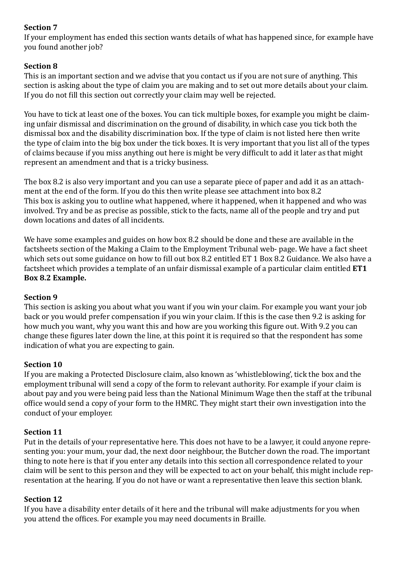# **Section 7**

If your employment has ended this section wants details of what has happened since, for example have you found another job?

# **Section 8**

This is an important section and we advise that you contact us if you are not sure of anything. This section is asking about the type of claim you are making and to set out more details about your claim. If you do not fill this section out correctly your claim may well be rejected.

You have to tick at least one of the boxes. You can tick multiple boxes, for example you might be claiming unfair dismissal and discrimination on the ground of disability, in which case you tick both the dismissal box and the disability discrimination box. If the type of claim is not listed here then write the type of claim into the big box under the tick boxes. It is very important that you list all of the types of claims because if you miss anything out here is might be very difficult to add it later as that might represent an amendment and that is a tricky business.

The box 8.2 is also very important and you can use a separate piece of paper and add it as an attachment at the end of the form. If you do this then write please see attachment into box 8.2 This box is asking you to outline what happened, where it happened, when it happened and who was involved. Try and be as precise as possible, stick to the facts, name all of the people and try and put down locations and dates of all incidents.

We have some examples and guides on how box 8.2 should be done and these are available in the factsheets section of the Making a Claim to the Employment Tribunal web- page. We have a fact sheet which sets out some guidance on how to fill out box 8.2 entitled ET 1 Box 8.2 Guidance. We also have a factsheet which provides a template of an unfair dismissal example of a particular claim entitled **ET1 Box 8.2 Example.**

## **Section 9**

This section is asking you about what you want if you win your claim. For example you want your job back or you would prefer compensation if you win your claim. If this is the case then 9.2 is asking for how much you want, why you want this and how are you working this figure out. With 9.2 you can change these figures later down the line, at this point it is required so that the respondent has some indication of what you are expecting to gain.

## **Section 10**

If you are making a Protected Disclosure claim, also known as 'whistleblowing', tick the box and the employment tribunal will send a copy of the form to relevant authority. For example if your claim is about pay and you were being paid less than the National Minimum Wage then the staff at the tribunal office would send a copy of your form to the HMRC. They might start their own investigation into the conduct of your employer.

## **Section 11**

Put in the details of your representative here. This does not have to be a lawyer, it could anyone representing you: your mum, your dad, the next door neighbour, the Butcher down the road. The important thing to note here is that if you enter any details into this section all correspondence related to your claim will be sent to this person and they will be expected to act on your behalf, this might include representation at the hearing. If you do not have or want a representative then leave this section blank.

### **Section 12**

If you have a disability enter details of it here and the tribunal will make adjustments for you when you attend the offices. For example you may need documents in Braille.